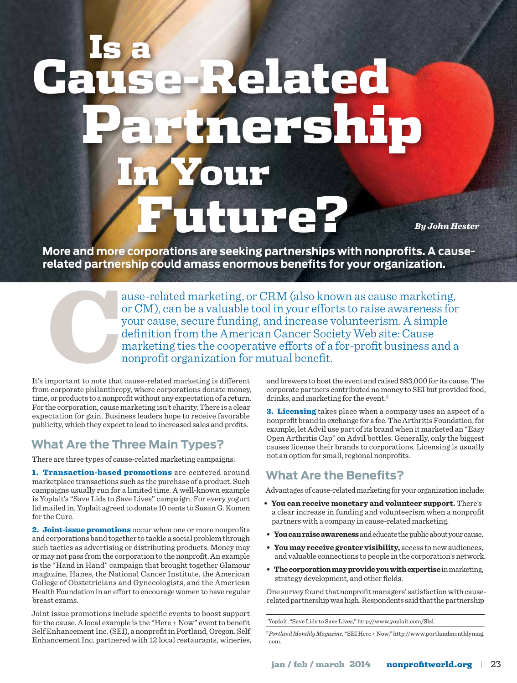# In Your Future? mershi Is a Related

*By John Hester*

**More and more corporations are seeking partnerships with nonprofits. A causerelated partnership could amass enormous benefits for your organization.**

ause-related marketing, or CRM (also known as cause marketing,<br>or CM), can be a valuable tool in your efforts to raise awareness for<br>your cause, secure funding, and increase volunteerism. A simple<br>definition from the Ameri or CM), can be a valuable tool in your efforts to raise awareness for your cause, secure funding, and increase volunteerism. A simple definition from the American Cancer Society Web site: Cause marketing ties the cooperative efforts of a for-profit business and a nonprofit organization for mutual benefit.

It's important to note that cause-related marketing is different from corporate philanthropy, where corporations donate money, time, or products to a nonprofit without any expectation of a return. For the corporation, cause marketing isn't charity. There is a clear expectation for gain. Business leaders hope to receive favorable publicity, which they expect to lead to increased sales and profits.

# **What Are the Three Main Types?**

There are three types of cause-related marketing campaigns:

1. Transaction-based promotions are centered around marketplace transactions such as the purchase of a product. Such campaigns usually run for a limited time. A well-known example is Yoplait's "Save Lids to Save Lives" campaign. For every yogurt lid mailed in, Yoplait agreed to donate 10 cents to Susan G. Komen for the Cure.<sup>1</sup>

2. Joint-issue promotions occur when one or more nonprofits and corporations band together to tackle a social problem through such tactics as advertising or distributing products. Money may or may not pass from the corporation to the nonprofit. An example is the "Hand in Hand" campaign that brought together Glamour magazine, Hanes, the National Cancer Institute, the American College of Obstetricians and Gynecologists, and the American Health Foundation in an effort to encourage women to have regular breast exams.

Joint issue promotions include specific events to boost support for the cause. A local example is the "Here + Now" event to benefit Self Enhancement Inc. (SEI), a nonprofit in Portland, Oregon. Self Enhancement Inc. partnered with 12 local restaurants, wineries,

and brewers to host the event and raised \$83,000 for its cause. The corporate partners contributed no money to SEI but provided food, drinks, and marketing for the event.<sup>2</sup>

**3. Licensing** takes place when a company uses an aspect of a nonprofit brand in exchange for a fee. The Arthritis Foundation, for example, let Advil use part of its brand when it marketed an "Easy Open Arthritis Cap" on Advil bottles. Generally, only the biggest causes license their brands to corporations. Licensing is usually not an option for small, regional nonprofits.

# **What Are the Benefits?**

Advantages of cause-related marketing for your organization include:

- **You can receive monetary and volunteer support.** There's a clear increase in funding and volunteerism when a nonprofit partners with a company in cause-related marketing.
- **Youcanraiseawareness** and educate the public about your cause.
- **Youmay receive greater visibility,** access to new audiences, and valuable connections to people in the corporation's network.
- **Thecorporationmayprovideyouwithexpertise** in marketing, strategy development, and other fields.

One survey found that nonprofit managers' satisfaction with causerelated partnership was high. Respondents said that the partnership

1 Yoplait, "Save Lids to Save Lives," http://www.yoplait.com/Slsl.

<sup>2</sup>*Portland Monthly Magazine,* "SEI Here + Now," http://www.portlandmonthlymag. com.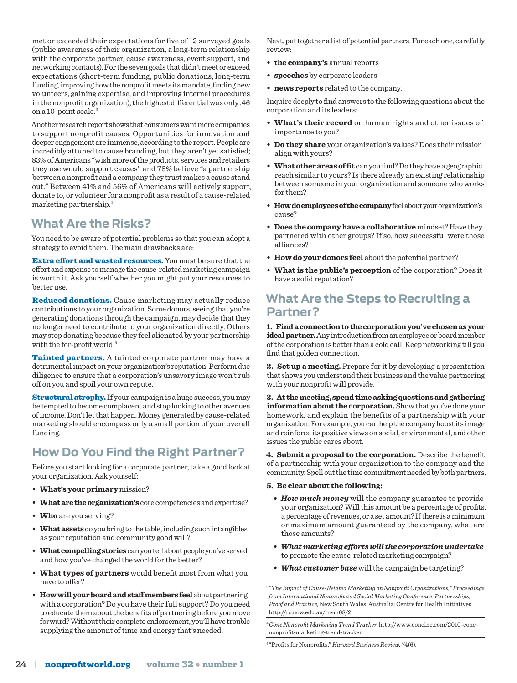met or exceeded their expectations for five of 12 surveyed goals (public awareness of their organization, a long-term relationship with the corporate partner, cause awareness, event support, and networking contacts). For the seven goals that didn't meet or exceed expectations (short-term funding, public donations, long-term funding, improving how the nonprofit meets its mandate, finding new volunteers, gaining expertise, and improving internal procedures in the nonprofit organization), the highest differential was only .46 on a 10-point scale.3

Another research report shows that consumers want more companies to support nonprofit causes. Opportunities for innovation and deeper engagement are immense, according to the report. People are incredibly attuned to cause branding, but they aren't yet satisfied; 83% of Americans "wish more of the products, services and retailers they use would support causes" and 78% believe "a partnership between a nonprofit and a company they trust makes a cause stand out." Between 41% and 56% of Americans will actively support, donate to, or volunteer for a nonprofit as a result of a cause-related marketing partnership.4

## **What Are the Risks?**

You need to be aware of potential problems so that you can adopt a strategy to avoid them. The main drawbacks are:

Extra effort and wasted resources. You must be sure that the effort and expense to manage the cause-related marketing campaign is worth it. Ask yourself whether you might put your resources to better use.

Reduced donations. Cause marketing may actually reduce contributions to your organization. Some donors, seeing that you're generating donations through the campaign, may decide that they no longer need to contribute to your organization directly. Others may stop donating because they feel alienated by your partnership with the for-profit world.<sup>5</sup>

Tainted partners. A tainted corporate partner may have a detrimental impact on your organization's reputation. Perform due diligence to ensure that a corporation's unsavory image won't rub off on you and spoil your own repute.

**Structural atrophy.** If your campaign is a huge success, you may be tempted to become complacent and stop looking to other avenues of income. Don't let that happen. Money generated by cause-related marketing should encompass only a small portion of your overall funding.

# **How Do You Find the Right Partner?**

Before you start looking for a corporate partner, take a good look at your organization. Ask yourself:

- **What's your primary** mission?
- **Whataretheorganization's** core competencies and expertise?
- **Who** are you serving?
- **Whatassets**do you bring to the table, including such intangibles as your reputation and community good will?
- **Whatcompellingstories**can you tell about people you've served and how you've changed the world for the better?
- **What types of partners** would benefit most from what you have to offer?
- **Howwillyourboardandstaffmembersfeel** about partnering with a corporation? Do you have their full support? Do you need to educate them about the benefits of partnering before you move forward? Without their complete endorsement, you'll have trouble supplying the amount of time and energy that's needed.

Next, put together a list of potential partners. For each one, carefully review:

- **the company's** annual reports
- **speeches** by corporate leaders
- **news reports** related to the company.

Inquire deeply to find answers to the following questions about the corporation and its leaders:

- **What's their record** on human rights and other issues of importance to you?
- **Do they share** your organization's values? Does their mission align with yours?
- **Whatotherareasoffit** can you find? Do they have a geographic reach similar to yours? Is there already an existing relationship between someone in your organization and someone who works for them?
- **Howdoemployeesofthecompany** feel about your organization's cause?
- **Does the companyhave a collaborative** mindset? Have they partnered with other groups? If so, how successful were those alliances?
- **How do your donors feel** about the potential partner?
- **What is the public's perception** of the corporation? Does it have a solid reputation?

#### **What Are the Steps to Recruiting a Partner?**

**1. Findaconnectiontothecorporationyou'vechosenasyour ideal partner.** Any introduction from an employee or board member of the corporation is better than a cold call. Keep networking till you find that golden connection.

**2. Set up a meeting.** Prepare for it by developing a presentation that shows you understand their business and the value partnering with your nonprofit will provide.

**3. At themeeting, spendtimeaskingquestionsandgathering informationabout the corporation.** Show that you've done your homework, and explain the benefits of a partnership with your organization. For example, you can help the company boost its image and reinforce its positive views on social, environmental, and other issues the public cares about.

**4. Submit a proposal to the corporation.** Describe the benefit of a partnership with your organization to the company and the community. Spell out the time commitment needed by both partners.

- **5. Be clear about the following:**
	- *How much money* will the company guarantee to provide your organization? Will this amount be a percentage of profits, a percentage of revenues, or a set amount? If there is a minimum or maximum amount guaranteed by the company, what are those amounts?
	- *Whatmarketing effortswill the corporationundertake* to promote the cause-related marketing campaign?
	- *What customer base* will the campaign be targeting?

<sup>3</sup>*"The Impact of Cause-Related Marketing on Nonprofit Organizations," Proceedings from International Nonprofit and Social Marketing Conference: Partnerships, Proof and Practice,* New South Wales, Australia: Centre for Health Initiatives, http://ro.uow.edu.au/insm08/2.

<sup>4</sup> *Cone Nonprofit Marketing Trend Tracker,* http://www.coneinc.com/2010-conenonprofit-marketing-trend-tracker.

<sup>5 &</sup>quot;Profits for Nonprofits," *Harvard Business Review,* 74(6).